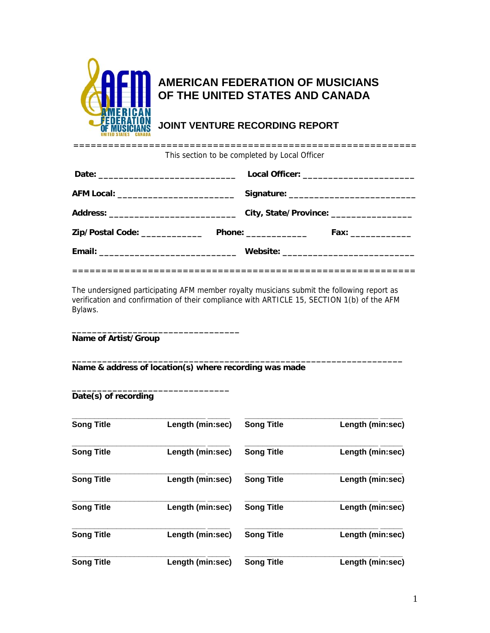

## **AMERICAN FEDERATION OF MUSICIANS OF THE UNITED STATES AND CANADA**

**JOINT VENTURE RECORDING REPORT** 

| _ _ _ _ _ _ _ _ _ _ _ _ _ _ _ _ |                                               |  |
|---------------------------------|-----------------------------------------------|--|
|                                 | This section to be completed by Local Officer |  |

|                                | Local Officer: _______________________________ |
|--------------------------------|------------------------------------------------|
|                                |                                                |
|                                |                                                |
| Zip/Postal Code: _____________ | Phone: _______________<br>Fax: ______________  |
|                                | Website: __________________________________    |
|                                |                                                |

The undersigned participating AFM member royalty musicians submit the following report as verification and confirmation of their compliance with ARTICLE 15, SECTION 1(b) of the AFM Bylaws.

**Name of Artist/Group** 

**\_\_\_\_\_\_\_\_\_\_\_\_\_\_\_\_\_\_\_\_\_\_\_\_\_\_\_\_\_\_\_\_\_\_\_\_\_\_\_\_\_\_\_\_\_\_\_\_\_\_\_\_\_\_\_\_\_\_\_\_\_\_\_\_\_ Name & address of location(s) where recording was made** 

**\_\_\_\_\_\_\_\_\_\_\_\_\_\_\_\_\_\_\_\_\_\_\_\_\_\_\_\_\_\_\_\_\_** 

**\_\_\_\_\_\_\_\_\_\_\_\_\_\_\_\_\_\_\_\_\_\_\_\_\_\_\_\_\_\_\_** 

**Date(s) of recording** 

| <b>Song Title</b> | Length (min:sec) | <b>Song Title</b> | Length (min:sec) |
|-------------------|------------------|-------------------|------------------|
|                   |                  |                   |                  |
| <b>Song Title</b> | Length (min:sec) | <b>Song Title</b> | Length (min:sec) |
| <b>Song Title</b> | Length (min:sec) | <b>Song Title</b> | Length (min:sec) |
| <b>Song Title</b> | Length (min:sec) | <b>Song Title</b> | Length (min:sec) |
| <b>Song Title</b> | Length (min:sec) | <b>Song Title</b> | Length (min:sec) |
| <b>Song Title</b> | Length (min:sec) | <b>Song Title</b> | Length (min:sec) |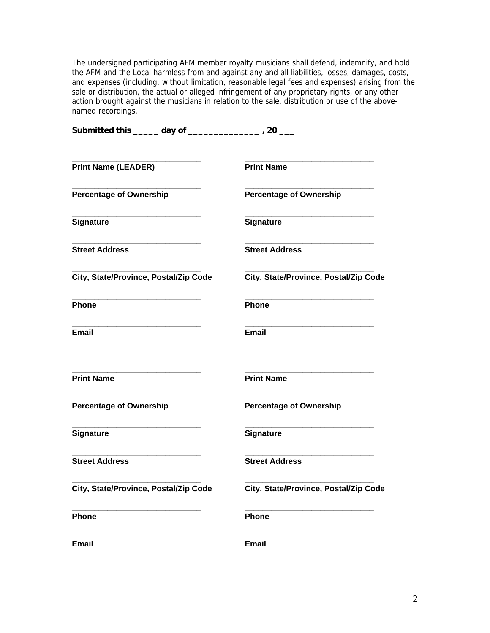The undersigned participating AFM member royalty musicians shall defend, indemnify, and hold the AFM and the Local harmless from and against any and all liabilities, losses, damages, costs, and expenses (including, without limitation, reasonable legal fees and expenses) arising from the sale or distribution, the actual or alleged infringement of any proprietary rights, or any other action brought against the musicians in relation to the sale, distribution or use of the abovenamed recordings.

| Submitted this _____ day of _____     | $\sim$ $\sim$ $\sim$ $\sim$ $\sim$ $\sim$ $\sim$ |  |
|---------------------------------------|--------------------------------------------------|--|
| <b>Print Name (LEADER)</b>            | <b>Print Name</b>                                |  |
| <b>Percentage of Ownership</b>        | <b>Percentage of Ownership</b>                   |  |
| <b>Signature</b>                      | <b>Signature</b>                                 |  |
| <b>Street Address</b>                 | <b>Street Address</b>                            |  |
| City, State/Province, Postal/Zip Code | City, State/Province, Postal/Zip Code            |  |
| Phone                                 | Phone                                            |  |
| Email                                 | Email                                            |  |
| <b>Print Name</b>                     | <b>Print Name</b>                                |  |
| <b>Percentage of Ownership</b>        | <b>Percentage of Ownership</b>                   |  |
| <b>Signature</b>                      | <b>Signature</b>                                 |  |
| <b>Street Address</b>                 | <b>Street Address</b>                            |  |
| City, State/Province, Postal/Zip Code | City, State/Province, Postal/Zip Code            |  |
| Phone                                 | Phone                                            |  |
| <b>Email</b>                          | <b>Email</b>                                     |  |